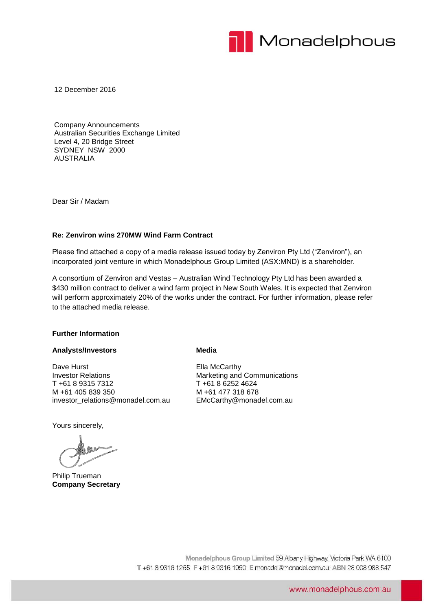

12 December 2016

Company Announcements Australian Securities Exchange Limited Level 4, 20 Bridge Street SYDNEY NSW 2000 AUSTRALIA

Dear Sir / Madam

#### **Re: Zenviron wins 270MW Wind Farm Contract**

Please find attached a copy of a media release issued today by Zenviron Pty Ltd ("Zenviron"), an incorporated joint venture in which Monadelphous Group Limited (ASX:MND) is a shareholder.

A consortium of Zenviron and Vestas – Australian Wind Technology Pty Ltd has been awarded a \$430 million contract to deliver a wind farm project in New South Wales. It is expected that Zenviron will perform approximately 20% of the works under the contract. For further information, please refer to the attached media release.

#### **Further Information**

#### **Analysts/Investors**

Dave Hurst Investor Relations T +61 8 9315 7312 M +61 405 839 350 investor\_relations@monadel.com.au

Yours sincerely,

Philip Trueman **Company Secretary**

#### **Media**

Ella McCarthy Marketing and Communications T +61 8 6252 4624 M +61 477 318 678 EMcCarthy@monadel.com.au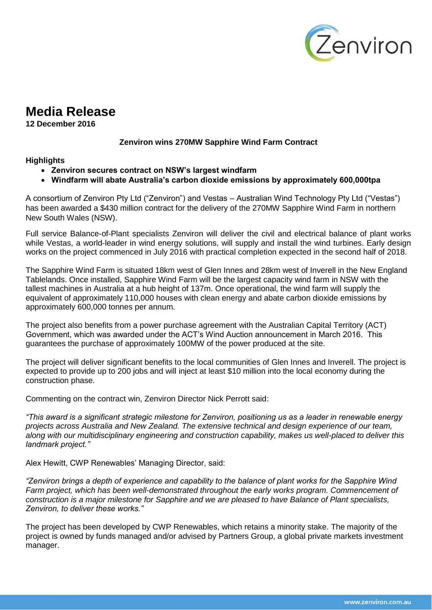

# **Media Release**

**12 December 2016** 

# **Zenviron wins 270MW Sapphire Wind Farm Contract**

## **Highlights**

- **Zenviron secures contract on NSW's largest windfarm**
- **Windfarm will abate Australia's carbon dioxide emissions by approximately 600,000tpa**

A consortium of Zenviron Pty Ltd ("Zenviron") and Vestas – Australian Wind Technology Pty Ltd ("Vestas") has been awarded a \$430 million contract for the delivery of the 270MW Sapphire Wind Farm in northern New South Wales (NSW).

Full service Balance-of-Plant specialists Zenviron will deliver the civil and electrical balance of plant works while Vestas, a world-leader in wind energy solutions, will supply and install the wind turbines. Early design works on the project commenced in July 2016 with practical completion expected in the second half of 2018.

The Sapphire Wind Farm is situated 18km west of Glen Innes and 28km west of Inverell in the New England Tablelands. Once installed, Sapphire Wind Farm will be the largest capacity wind farm in NSW with the tallest machines in Australia at a hub height of 137m. Once operational, the wind farm will supply the equivalent of approximately 110,000 houses with clean energy and abate carbon dioxide emissions by approximately 600,000 tonnes per annum.

The project also benefits from a power purchase agreement with the Australian Capital Territory (ACT) Government, which was awarded under the ACT's Wind Auction announcement in March 2016. This guarantees the purchase of approximately 100MW of the power produced at the site.

The project will deliver significant benefits to the local communities of Glen Innes and Inverell. The project is expected to provide up to 200 jobs and will inject at least \$10 million into the local economy during the construction phase.

Commenting on the contract win, Zenviron Director Nick Perrott said:

*"This award is a significant strategic milestone for Zenviron, positioning us as a leader in renewable energy projects across Australia and New Zealand. The extensive technical and design experience of our team, along with our multidisciplinary engineering and construction capability, makes us well-placed to deliver this landmark project."*

Alex Hewitt, CWP Renewables' Managing Director, said:

*"Zenviron brings a depth of experience and capability to the balance of plant works for the Sapphire Wind Farm project, which has been well-demonstrated throughout the early works program. Commencement of construction is a major milestone for Sapphire and we are pleased to have Balance of Plant specialists, Zenviron, to deliver these works."* 

The project has been developed by CWP Renewables, which retains a minority stake. The majority of the project is owned by funds managed and/or advised by Partners Group, a global private markets investment manager.